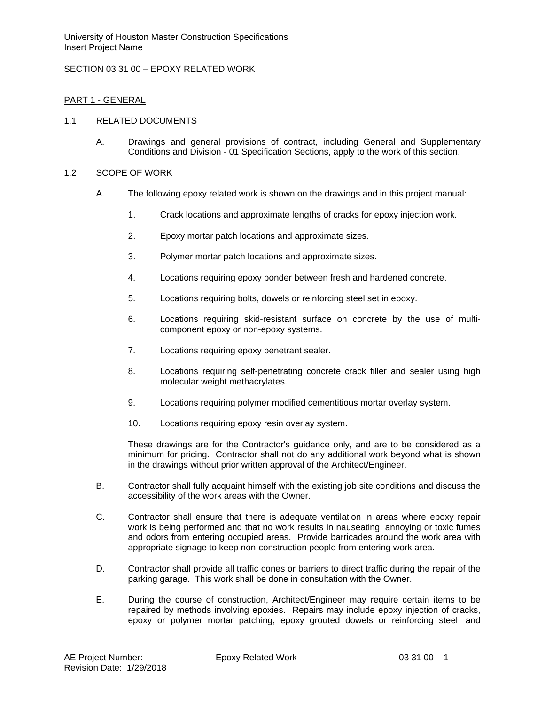## SECTION 03 31 00 – EPOXY RELATED WORK

## PART 1 - GENERAL

### 1.1 RELATED DOCUMENTS

A. Drawings and general provisions of contract, including General and Supplementary Conditions and Division - 01 Specification Sections, apply to the work of this section.

### 1.2 SCOPE OF WORK

- A. The following epoxy related work is shown on the drawings and in this project manual:
	- 1. Crack locations and approximate lengths of cracks for epoxy injection work.
	- 2. Epoxy mortar patch locations and approximate sizes.
	- 3. Polymer mortar patch locations and approximate sizes.
	- 4. Locations requiring epoxy bonder between fresh and hardened concrete.
	- 5. Locations requiring bolts, dowels or reinforcing steel set in epoxy.
	- 6. Locations requiring skid-resistant surface on concrete by the use of multicomponent epoxy or non-epoxy systems.
	- 7. Locations requiring epoxy penetrant sealer.
	- 8. Locations requiring self-penetrating concrete crack filler and sealer using high molecular weight methacrylates.
	- 9. Locations requiring polymer modified cementitious mortar overlay system.
	- 10. Locations requiring epoxy resin overlay system.

These drawings are for the Contractor's guidance only, and are to be considered as a minimum for pricing. Contractor shall not do any additional work beyond what is shown in the drawings without prior written approval of the Architect/Engineer.

- B. Contractor shall fully acquaint himself with the existing job site conditions and discuss the accessibility of the work areas with the Owner.
- C. Contractor shall ensure that there is adequate ventilation in areas where epoxy repair work is being performed and that no work results in nauseating, annoying or toxic fumes and odors from entering occupied areas. Provide barricades around the work area with appropriate signage to keep non-construction people from entering work area.
- D. Contractor shall provide all traffic cones or barriers to direct traffic during the repair of the parking garage. This work shall be done in consultation with the Owner.
- E. During the course of construction, Architect/Engineer may require certain items to be repaired by methods involving epoxies. Repairs may include epoxy injection of cracks, epoxy or polymer mortar patching, epoxy grouted dowels or reinforcing steel, and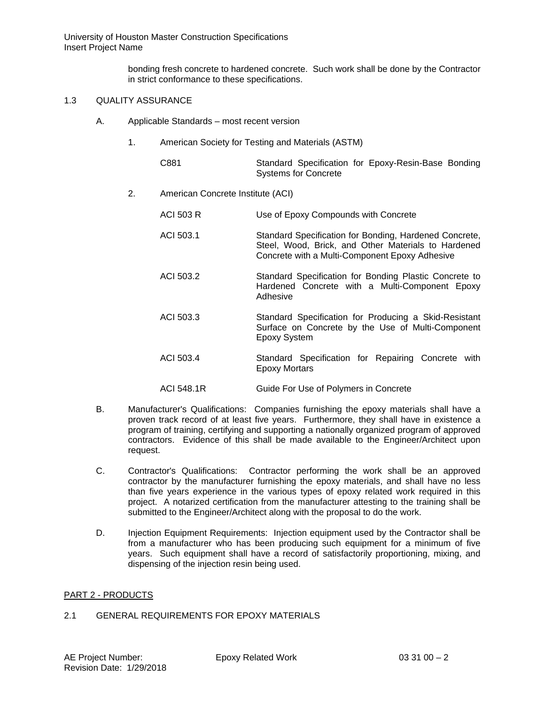bonding fresh concrete to hardened concrete. Such work shall be done by the Contractor in strict conformance to these specifications.

# 1.3 QUALITY ASSURANCE

- A. Applicable Standards most recent version
	- 1. American Society for Testing and Materials (ASTM)

| C881 |                      | Standard Specification for Epoxy-Resin-Base Bonding |  |
|------|----------------------|-----------------------------------------------------|--|
|      | Systems for Concrete |                                                     |  |

2. American Concrete Institute (ACI)

| <b>ACI 503 R</b> | Use of Epoxy Compounds with Concrete                                                                                                                            |
|------------------|-----------------------------------------------------------------------------------------------------------------------------------------------------------------|
| ACI 503.1        | Standard Specification for Bonding, Hardened Concrete,<br>Steel, Wood, Brick, and Other Materials to Hardened<br>Concrete with a Multi-Component Epoxy Adhesive |
| ACI 503.2        | Standard Specification for Bonding Plastic Concrete to<br>Hardened Concrete with a Multi-Component Epoxy<br>Adhesive                                            |
| ACI 503.3        | Standard Specification for Producing a Skid-Resistant<br>Surface on Concrete by the Use of Multi-Component<br>Epoxy System                                      |
| ACI 503.4        | Standard Specification for Repairing Concrete with<br><b>Epoxy Mortars</b>                                                                                      |
| ACI 548.1R       | Guide For Use of Polymers in Concrete                                                                                                                           |

- B. Manufacturer's Qualifications: Companies furnishing the epoxy materials shall have a proven track record of at least five years. Furthermore, they shall have in existence a program of training, certifying and supporting a nationally organized program of approved contractors. Evidence of this shall be made available to the Engineer/Architect upon request.
- C. Contractor's Qualifications: Contractor performing the work shall be an approved contractor by the manufacturer furnishing the epoxy materials, and shall have no less than five years experience in the various types of epoxy related work required in this project. A notarized certification from the manufacturer attesting to the training shall be submitted to the Engineer/Architect along with the proposal to do the work.
- D. Injection Equipment Requirements: Injection equipment used by the Contractor shall be from a manufacturer who has been producing such equipment for a minimum of five years. Such equipment shall have a record of satisfactorily proportioning, mixing, and dispensing of the injection resin being used.

#### PART 2 - PRODUCTS

#### 2.1 GENERAL REQUIREMENTS FOR EPOXY MATERIALS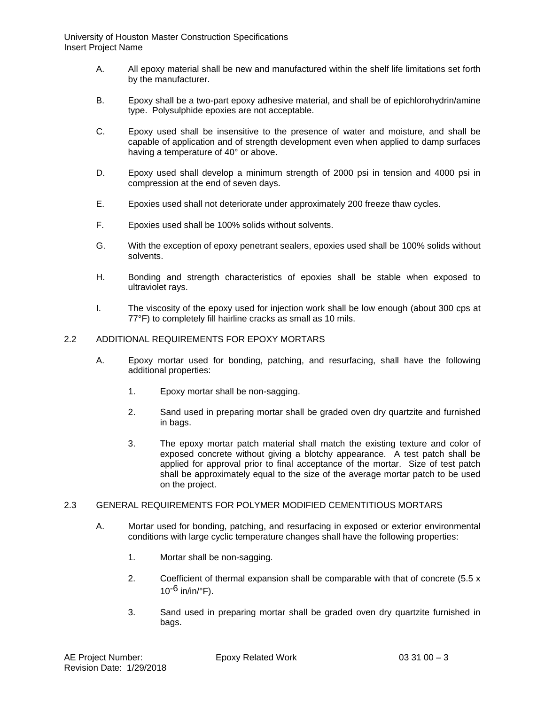- A. All epoxy material shall be new and manufactured within the shelf life limitations set forth by the manufacturer.
- B. Epoxy shall be a two-part epoxy adhesive material, and shall be of epichlorohydrin/amine type. Polysulphide epoxies are not acceptable.
- C. Epoxy used shall be insensitive to the presence of water and moisture, and shall be capable of application and of strength development even when applied to damp surfaces having a temperature of 40° or above.
- D. Epoxy used shall develop a minimum strength of 2000 psi in tension and 4000 psi in compression at the end of seven days.
- E. Epoxies used shall not deteriorate under approximately 200 freeze thaw cycles.
- F. Epoxies used shall be 100% solids without solvents.
- G. With the exception of epoxy penetrant sealers, epoxies used shall be 100% solids without solvents.
- H. Bonding and strength characteristics of epoxies shall be stable when exposed to ultraviolet rays.
- I. The viscosity of the epoxy used for injection work shall be low enough (about 300 cps at 77°F) to completely fill hairline cracks as small as 10 mils.

### 2.2 ADDITIONAL REQUIREMENTS FOR EPOXY MORTARS

- A. Epoxy mortar used for bonding, patching, and resurfacing, shall have the following additional properties:
	- 1. Epoxy mortar shall be non-sagging.
	- 2. Sand used in preparing mortar shall be graded oven dry quartzite and furnished in bags.
	- 3. The epoxy mortar patch material shall match the existing texture and color of exposed concrete without giving a blotchy appearance. A test patch shall be applied for approval prior to final acceptance of the mortar. Size of test patch shall be approximately equal to the size of the average mortar patch to be used on the project.

#### 2.3 GENERAL REQUIREMENTS FOR POLYMER MODIFIED CEMENTITIOUS MORTARS

- A. Mortar used for bonding, patching, and resurfacing in exposed or exterior environmental conditions with large cyclic temperature changes shall have the following properties:
	- 1. Mortar shall be non-sagging.
	- 2. Coefficient of thermal expansion shall be comparable with that of concrete (5.5 x  $10^{-6}$  in/in/°F).
	- 3. Sand used in preparing mortar shall be graded oven dry quartzite furnished in bags.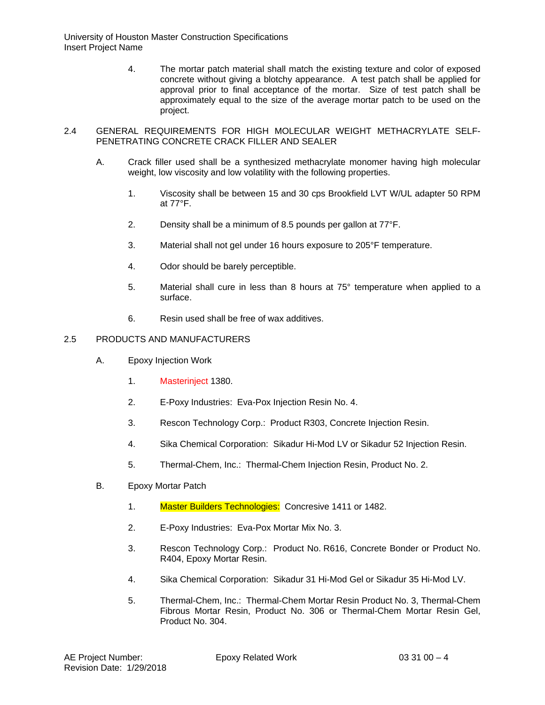4. The mortar patch material shall match the existing texture and color of exposed concrete without giving a blotchy appearance. A test patch shall be applied for approval prior to final acceptance of the mortar. Size of test patch shall be approximately equal to the size of the average mortar patch to be used on the project.

#### 2.4 GENERAL REQUIREMENTS FOR HIGH MOLECULAR WEIGHT METHACRYLATE SELF-PENETRATING CONCRETE CRACK FILLER AND SEALER

- A. Crack filler used shall be a synthesized methacrylate monomer having high molecular weight, low viscosity and low volatility with the following properties.
	- 1. Viscosity shall be between 15 and 30 cps Brookfield LVT W/UL adapter 50 RPM at 77°F.
	- 2. Density shall be a minimum of 8.5 pounds per gallon at 77°F.
	- 3. Material shall not gel under 16 hours exposure to 205°F temperature.
	- 4. Odor should be barely perceptible.
	- 5. Material shall cure in less than 8 hours at 75° temperature when applied to a surface.
	- 6. Resin used shall be free of wax additives.

#### 2.5 PRODUCTS AND MANUFACTURERS

- A. Epoxy Injection Work
	- 1. Masterinject 1380.
	- 2. E-Poxy Industries: Eva-Pox Injection Resin No. 4.
	- 3. Rescon Technology Corp.: Product R303, Concrete Injection Resin.
	- 4. Sika Chemical Corporation: Sikadur Hi-Mod LV or Sikadur 52 Injection Resin.
	- 5. Thermal-Chem, Inc.: Thermal-Chem Injection Resin, Product No. 2.
- B. Epoxy Mortar Patch
	- 1. Master Builders Technologies: Concresive 1411 or 1482.
	- 2. E-Poxy Industries: Eva-Pox Mortar Mix No. 3.
	- 3. Rescon Technology Corp.: Product No. R616, Concrete Bonder or Product No. R404, Epoxy Mortar Resin.
	- 4. Sika Chemical Corporation: Sikadur 31 Hi-Mod Gel or Sikadur 35 Hi-Mod LV.
	- 5. Thermal-Chem, Inc.: Thermal-Chem Mortar Resin Product No. 3, Thermal-Chem Fibrous Mortar Resin, Product No. 306 or Thermal-Chem Mortar Resin Gel, Product No. 304.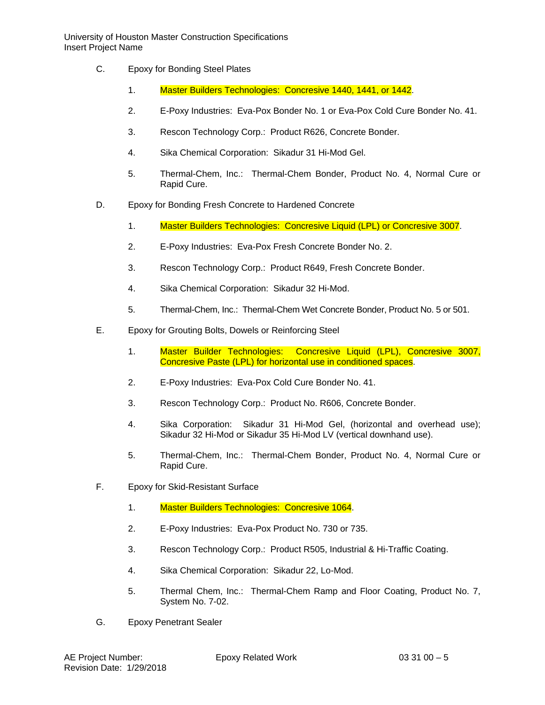- C. Epoxy for Bonding Steel Plates
	- 1. Master Builders Technologies: Concresive 1440, 1441, or 1442.
	- 2. E-Poxy Industries: Eva-Pox Bonder No. 1 or Eva-Pox Cold Cure Bonder No. 41.
	- 3. Rescon Technology Corp.: Product R626, Concrete Bonder.
	- 4. Sika Chemical Corporation: Sikadur 31 Hi-Mod Gel.
	- 5. Thermal-Chem, Inc.: Thermal-Chem Bonder, Product No. 4, Normal Cure or Rapid Cure.
- D. Epoxy for Bonding Fresh Concrete to Hardened Concrete
	- 1. Master Builders Technologies: Concresive Liquid (LPL) or Concresive 3007.
	- 2. E-Poxy Industries: Eva-Pox Fresh Concrete Bonder No. 2.
	- 3. Rescon Technology Corp.: Product R649, Fresh Concrete Bonder.
	- 4. Sika Chemical Corporation: Sikadur 32 Hi-Mod.
	- 5. Thermal-Chem, Inc.: Thermal-Chem Wet Concrete Bonder, Product No. 5 or 501.
- E. Epoxy for Grouting Bolts, Dowels or Reinforcing Steel
	- 1. Master Builder Technologies: Concresive Liquid (LPL), Concresive 3007, Concresive Paste (LPL) for horizontal use in conditioned spaces.
	- 2. E-Poxy Industries: Eva-Pox Cold Cure Bonder No. 41.
	- 3. Rescon Technology Corp.: Product No. R606, Concrete Bonder.
	- 4. Sika Corporation: Sikadur 31 Hi-Mod Gel, (horizontal and overhead use); Sikadur 32 Hi-Mod or Sikadur 35 Hi-Mod LV (vertical downhand use).
	- 5. Thermal-Chem, Inc.: Thermal-Chem Bonder, Product No. 4, Normal Cure or Rapid Cure.
- F. Epoxy for Skid-Resistant Surface
	- 1. Master Builders Technologies: Concresive 1064.
	- 2. E-Poxy Industries: Eva-Pox Product No. 730 or 735.
	- 3. Rescon Technology Corp.: Product R505, Industrial & Hi-Traffic Coating.
	- 4. Sika Chemical Corporation: Sikadur 22, Lo-Mod.
	- 5. Thermal Chem, Inc.: Thermal-Chem Ramp and Floor Coating, Product No. 7, System No. 7-02.
- G. Epoxy Penetrant Sealer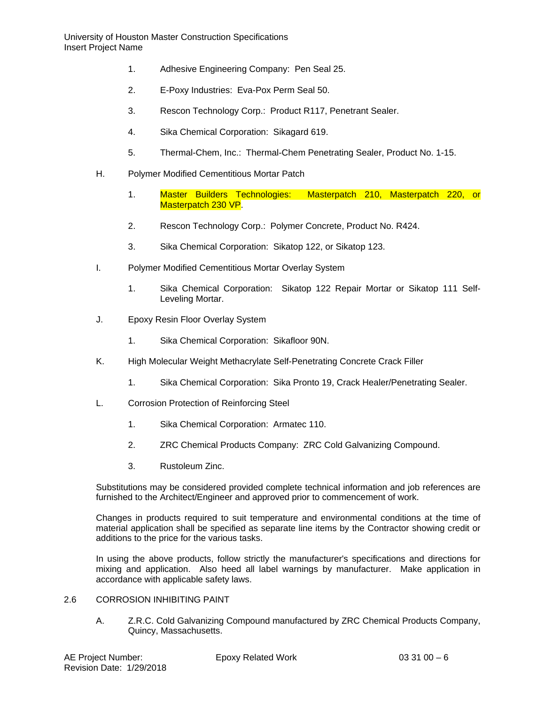- 1. Adhesive Engineering Company: Pen Seal 25.
- 2. E-Poxy Industries: Eva-Pox Perm Seal 50.
- 3. Rescon Technology Corp.: Product R117, Penetrant Sealer.
- 4. Sika Chemical Corporation: Sikagard 619.
- 5. Thermal-Chem, Inc.: Thermal-Chem Penetrating Sealer, Product No. 1-15.
- H. Polymer Modified Cementitious Mortar Patch
	- 1. Master Builders Technologies: Masterpatch 210, Masterpatch 220, or Masterpatch 230 VP.
	- 2. Rescon Technology Corp.: Polymer Concrete, Product No. R424.
	- 3. Sika Chemical Corporation: Sikatop 122, or Sikatop 123.
- I. Polymer Modified Cementitious Mortar Overlay System
	- 1. Sika Chemical Corporation: Sikatop 122 Repair Mortar or Sikatop 111 Self-Leveling Mortar.
- J. Epoxy Resin Floor Overlay System
	- 1. Sika Chemical Corporation: Sikafloor 90N.
- K. High Molecular Weight Methacrylate Self-Penetrating Concrete Crack Filler
	- 1. Sika Chemical Corporation: Sika Pronto 19, Crack Healer/Penetrating Sealer.
- L. Corrosion Protection of Reinforcing Steel
	- 1. Sika Chemical Corporation: Armatec 110.
	- 2. ZRC Chemical Products Company: ZRC Cold Galvanizing Compound.
	- 3. Rustoleum Zinc.

Substitutions may be considered provided complete technical information and job references are furnished to the Architect/Engineer and approved prior to commencement of work.

Changes in products required to suit temperature and environmental conditions at the time of material application shall be specified as separate line items by the Contractor showing credit or additions to the price for the various tasks.

In using the above products, follow strictly the manufacturer's specifications and directions for mixing and application. Also heed all label warnings by manufacturer. Make application in accordance with applicable safety laws.

- 2.6 CORROSION INHIBITING PAINT
	- A. Z.R.C. Cold Galvanizing Compound manufactured by ZRC Chemical Products Company, Quincy, Massachusetts.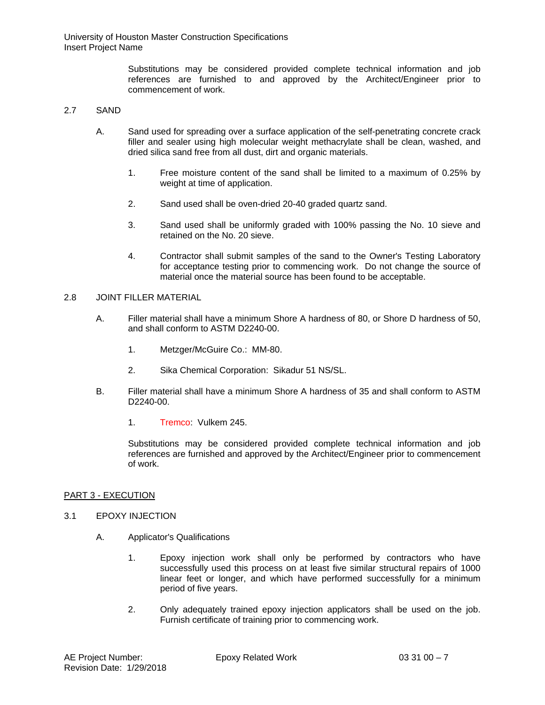> Substitutions may be considered provided complete technical information and job references are furnished to and approved by the Architect/Engineer prior to commencement of work.

#### 2.7 SAND

- A. Sand used for spreading over a surface application of the self-penetrating concrete crack filler and sealer using high molecular weight methacrylate shall be clean, washed, and dried silica sand free from all dust, dirt and organic materials.
	- 1. Free moisture content of the sand shall be limited to a maximum of 0.25% by weight at time of application.
	- 2. Sand used shall be oven-dried 20-40 graded quartz sand.
	- 3. Sand used shall be uniformly graded with 100% passing the No. 10 sieve and retained on the No. 20 sieve.
	- 4. Contractor shall submit samples of the sand to the Owner's Testing Laboratory for acceptance testing prior to commencing work. Do not change the source of material once the material source has been found to be acceptable.

#### 2.8 JOINT FILLER MATERIAL

- A. Filler material shall have a minimum Shore A hardness of 80, or Shore D hardness of 50, and shall conform to ASTM D2240-00.
	- 1. Metzger/McGuire Co.: MM-80.
	- 2. Sika Chemical Corporation: Sikadur 51 NS/SL.
- B. Filler material shall have a minimum Shore A hardness of 35 and shall conform to ASTM D2240-00.
	- 1. Tremco: Vulkem 245.

Substitutions may be considered provided complete technical information and job references are furnished and approved by the Architect/Engineer prior to commencement of work.

#### PART 3 - EXECUTION

#### 3.1 EPOXY INJECTION

- A. Applicator's Qualifications
	- 1. Epoxy injection work shall only be performed by contractors who have successfully used this process on at least five similar structural repairs of 1000 linear feet or longer, and which have performed successfully for a minimum period of five years.
	- 2. Only adequately trained epoxy injection applicators shall be used on the job. Furnish certificate of training prior to commencing work.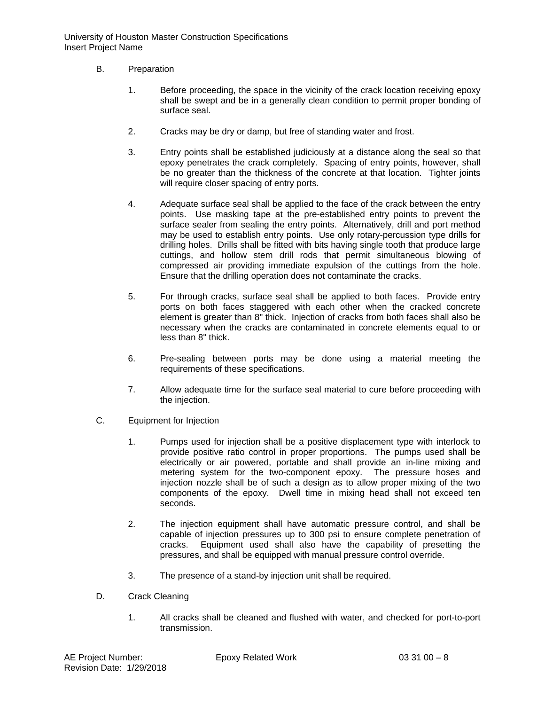- B. Preparation
	- 1. Before proceeding, the space in the vicinity of the crack location receiving epoxy shall be swept and be in a generally clean condition to permit proper bonding of surface seal.
	- 2. Cracks may be dry or damp, but free of standing water and frost.
	- 3. Entry points shall be established judiciously at a distance along the seal so that epoxy penetrates the crack completely. Spacing of entry points, however, shall be no greater than the thickness of the concrete at that location. Tighter joints will require closer spacing of entry ports.
	- 4. Adequate surface seal shall be applied to the face of the crack between the entry points. Use masking tape at the pre-established entry points to prevent the surface sealer from sealing the entry points. Alternatively, drill and port method may be used to establish entry points. Use only rotary-percussion type drills for drilling holes. Drills shall be fitted with bits having single tooth that produce large cuttings, and hollow stem drill rods that permit simultaneous blowing of compressed air providing immediate expulsion of the cuttings from the hole. Ensure that the drilling operation does not contaminate the cracks.
	- 5. For through cracks, surface seal shall be applied to both faces. Provide entry ports on both faces staggered with each other when the cracked concrete element is greater than 8" thick. Injection of cracks from both faces shall also be necessary when the cracks are contaminated in concrete elements equal to or less than 8" thick.
	- 6. Pre-sealing between ports may be done using a material meeting the requirements of these specifications.
	- 7. Allow adequate time for the surface seal material to cure before proceeding with the injection.
- C. Equipment for Injection
	- 1. Pumps used for injection shall be a positive displacement type with interlock to provide positive ratio control in proper proportions. The pumps used shall be electrically or air powered, portable and shall provide an in-line mixing and metering system for the two-component epoxy. The pressure hoses and injection nozzle shall be of such a design as to allow proper mixing of the two components of the epoxy. Dwell time in mixing head shall not exceed ten seconds.
	- 2. The injection equipment shall have automatic pressure control, and shall be capable of injection pressures up to 300 psi to ensure complete penetration of cracks. Equipment used shall also have the capability of presetting the Equipment used shall also have the capability of presetting the pressures, and shall be equipped with manual pressure control override.
	- 3. The presence of a stand-by injection unit shall be required.
- D. Crack Cleaning
	- 1. All cracks shall be cleaned and flushed with water, and checked for port-to-port transmission.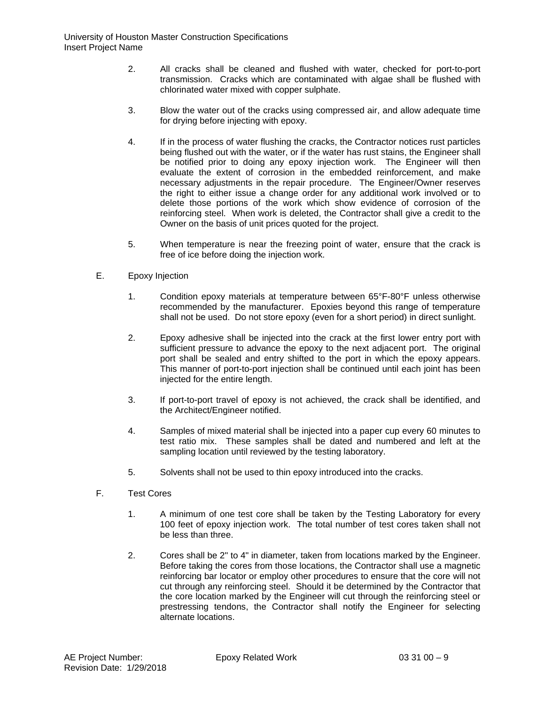- 2. All cracks shall be cleaned and flushed with water, checked for port-to-port transmission. Cracks which are contaminated with algae shall be flushed with chlorinated water mixed with copper sulphate.
- 3. Blow the water out of the cracks using compressed air, and allow adequate time for drying before injecting with epoxy.
- 4. If in the process of water flushing the cracks, the Contractor notices rust particles being flushed out with the water, or if the water has rust stains, the Engineer shall be notified prior to doing any epoxy injection work. The Engineer will then evaluate the extent of corrosion in the embedded reinforcement, and make necessary adjustments in the repair procedure. The Engineer/Owner reserves the right to either issue a change order for any additional work involved or to delete those portions of the work which show evidence of corrosion of the reinforcing steel. When work is deleted, the Contractor shall give a credit to the Owner on the basis of unit prices quoted for the project.
- 5. When temperature is near the freezing point of water, ensure that the crack is free of ice before doing the injection work.
- E. Epoxy Injection
	- 1. Condition epoxy materials at temperature between 65°F-80°F unless otherwise recommended by the manufacturer. Epoxies beyond this range of temperature shall not be used. Do not store epoxy (even for a short period) in direct sunlight.
	- 2. Epoxy adhesive shall be injected into the crack at the first lower entry port with sufficient pressure to advance the epoxy to the next adjacent port. The original port shall be sealed and entry shifted to the port in which the epoxy appears. This manner of port-to-port injection shall be continued until each joint has been injected for the entire length.
	- 3. If port-to-port travel of epoxy is not achieved, the crack shall be identified, and the Architect/Engineer notified.
	- 4. Samples of mixed material shall be injected into a paper cup every 60 minutes to test ratio mix. These samples shall be dated and numbered and left at the sampling location until reviewed by the testing laboratory.
	- 5. Solvents shall not be used to thin epoxy introduced into the cracks.
- F. Test Cores
	- 1. A minimum of one test core shall be taken by the Testing Laboratory for every 100 feet of epoxy injection work. The total number of test cores taken shall not be less than three.
	- 2. Cores shall be 2" to 4" in diameter, taken from locations marked by the Engineer. Before taking the cores from those locations, the Contractor shall use a magnetic reinforcing bar locator or employ other procedures to ensure that the core will not cut through any reinforcing steel. Should it be determined by the Contractor that the core location marked by the Engineer will cut through the reinforcing steel or prestressing tendons, the Contractor shall notify the Engineer for selecting alternate locations.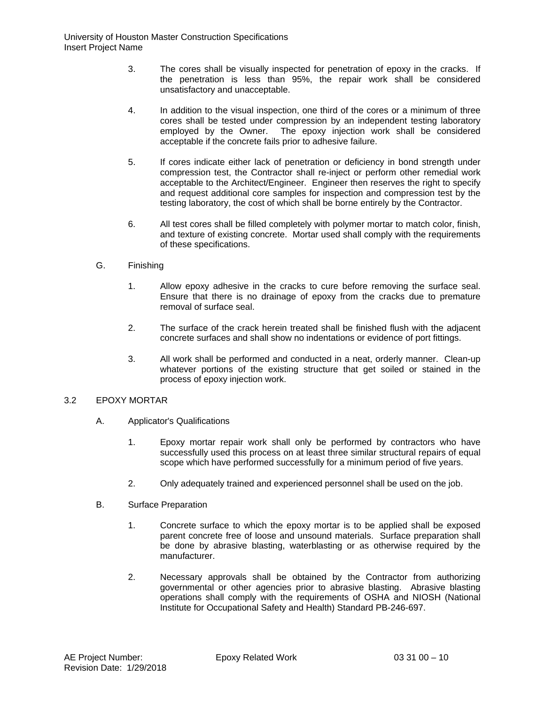- 3. The cores shall be visually inspected for penetration of epoxy in the cracks. If the penetration is less than 95%, the repair work shall be considered unsatisfactory and unacceptable.
- 4. In addition to the visual inspection, one third of the cores or a minimum of three cores shall be tested under compression by an independent testing laboratory employed by the Owner. The epoxy injection work shall be considered acceptable if the concrete fails prior to adhesive failure.
- 5. If cores indicate either lack of penetration or deficiency in bond strength under compression test, the Contractor shall re-inject or perform other remedial work acceptable to the Architect/Engineer. Engineer then reserves the right to specify and request additional core samples for inspection and compression test by the testing laboratory, the cost of which shall be borne entirely by the Contractor.
- 6. All test cores shall be filled completely with polymer mortar to match color, finish, and texture of existing concrete. Mortar used shall comply with the requirements of these specifications.
- G. Finishing
	- 1. Allow epoxy adhesive in the cracks to cure before removing the surface seal. Ensure that there is no drainage of epoxy from the cracks due to premature removal of surface seal.
	- 2. The surface of the crack herein treated shall be finished flush with the adjacent concrete surfaces and shall show no indentations or evidence of port fittings.
	- 3. All work shall be performed and conducted in a neat, orderly manner. Clean-up whatever portions of the existing structure that get soiled or stained in the process of epoxy injection work.

## 3.2 EPOXY MORTAR

- A. Applicator's Qualifications
	- 1. Epoxy mortar repair work shall only be performed by contractors who have successfully used this process on at least three similar structural repairs of equal scope which have performed successfully for a minimum period of five years.
	- 2. Only adequately trained and experienced personnel shall be used on the job.
- B. Surface Preparation
	- 1. Concrete surface to which the epoxy mortar is to be applied shall be exposed parent concrete free of loose and unsound materials. Surface preparation shall be done by abrasive blasting, waterblasting or as otherwise required by the manufacturer.
	- 2. Necessary approvals shall be obtained by the Contractor from authorizing governmental or other agencies prior to abrasive blasting. Abrasive blasting operations shall comply with the requirements of OSHA and NIOSH (National Institute for Occupational Safety and Health) Standard PB-246-697.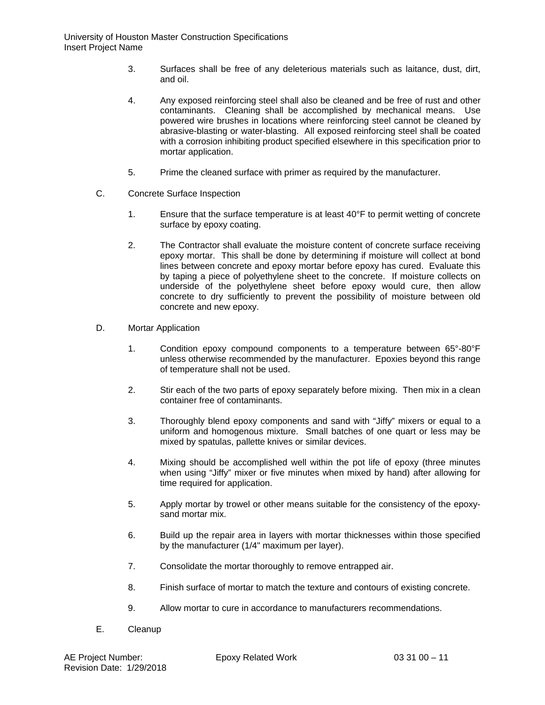- 3. Surfaces shall be free of any deleterious materials such as laitance, dust, dirt, and oil.
- 4. Any exposed reinforcing steel shall also be cleaned and be free of rust and other contaminants. Cleaning shall be accomplished by mechanical means. Use powered wire brushes in locations where reinforcing steel cannot be cleaned by abrasive-blasting or water-blasting. All exposed reinforcing steel shall be coated with a corrosion inhibiting product specified elsewhere in this specification prior to mortar application.
- 5. Prime the cleaned surface with primer as required by the manufacturer.
- C. Concrete Surface Inspection
	- 1. Ensure that the surface temperature is at least 40°F to permit wetting of concrete surface by epoxy coating.
	- 2. The Contractor shall evaluate the moisture content of concrete surface receiving epoxy mortar. This shall be done by determining if moisture will collect at bond lines between concrete and epoxy mortar before epoxy has cured. Evaluate this by taping a piece of polyethylene sheet to the concrete. If moisture collects on underside of the polyethylene sheet before epoxy would cure, then allow concrete to dry sufficiently to prevent the possibility of moisture between old concrete and new epoxy.
- D. Mortar Application
	- 1. Condition epoxy compound components to a temperature between 65°-80°F unless otherwise recommended by the manufacturer. Epoxies beyond this range of temperature shall not be used.
	- 2. Stir each of the two parts of epoxy separately before mixing. Then mix in a clean container free of contaminants.
	- 3. Thoroughly blend epoxy components and sand with "Jiffy" mixers or equal to a uniform and homogenous mixture. Small batches of one quart or less may be mixed by spatulas, pallette knives or similar devices.
	- 4. Mixing should be accomplished well within the pot life of epoxy (three minutes when using "Jiffy" mixer or five minutes when mixed by hand) after allowing for time required for application.
	- 5. Apply mortar by trowel or other means suitable for the consistency of the epoxysand mortar mix.
	- 6. Build up the repair area in layers with mortar thicknesses within those specified by the manufacturer (1/4" maximum per layer).
	- 7. Consolidate the mortar thoroughly to remove entrapped air.
	- 8. Finish surface of mortar to match the texture and contours of existing concrete.
	- 9. Allow mortar to cure in accordance to manufacturers recommendations.
- E. Cleanup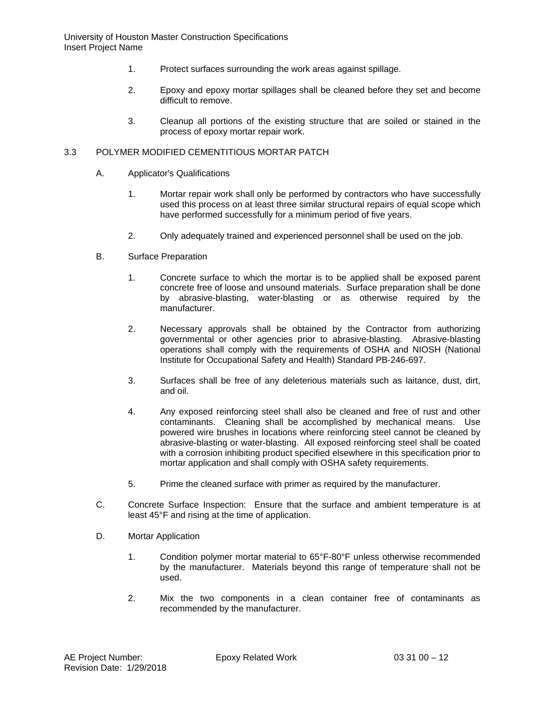- 1. Protect surfaces surrounding the work areas against spillage.
- 2. Epoxy and epoxy mortar spillages shall be cleaned before they set and become difficult to remove.
- 3. Cleanup all portions of the existing structure that are soiled or stained in the process of epoxy mortar repair work.

### 3.3 POLYMER MODIFIED CEMENTITIOUS MORTAR PATCH

- A. Applicator's Qualifications
	- 1. Mortar repair work shall only be performed by contractors who have successfully used this process on at least three similar structural repairs of equal scope which have performed successfully for a minimum period of five years.
	- 2. Only adequately trained and experienced personnel shall be used on the job.
- B. Surface Preparation
	- 1. Concrete surface to which the mortar is to be applied shall be exposed parent concrete free of loose and unsound materials. Surface preparation shall be done by abrasive-blasting, water-blasting or as otherwise required by the manufacturer.
	- 2. Necessary approvals shall be obtained by the Contractor from authorizing governmental or other agencies prior to abrasive-blasting. Abrasive-blasting operations shall comply with the requirements of OSHA and NIOSH (National Institute for Occupational Safety and Health) Standard PB-246-697.
	- 3. Surfaces shall be free of any deleterious materials such as laitance, dust, dirt, and oil.
	- 4. Any exposed reinforcing steel shall also be cleaned and free of rust and other contaminants. Cleaning shall be accomplished by mechanical means. Use powered wire brushes in locations where reinforcing steel cannot be cleaned by abrasive-blasting or water-blasting. All exposed reinforcing steel shall be coated with a corrosion inhibiting product specified elsewhere in this specification prior to mortar application and shall comply with OSHA safety requirements.
	- 5. Prime the cleaned surface with primer as required by the manufacturer.
- C. Concrete Surface Inspection: Ensure that the surface and ambient temperature is at least 45°F and rising at the time of application.
- D. Mortar Application
	- 1. Condition polymer mortar material to 65°F-80°F unless otherwise recommended by the manufacturer. Materials beyond this range of temperature shall not be used.
	- 2. Mix the two components in a clean container free of contaminants as recommended by the manufacturer.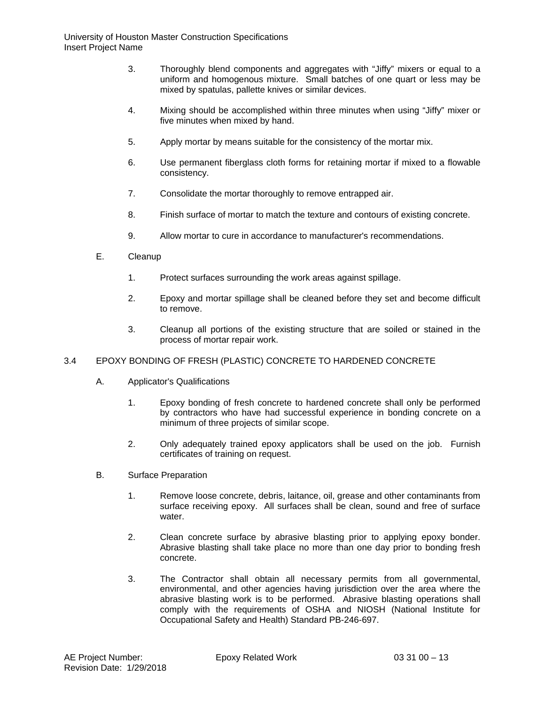- 3. Thoroughly blend components and aggregates with "Jiffy" mixers or equal to a uniform and homogenous mixture. Small batches of one quart or less may be mixed by spatulas, pallette knives or similar devices.
- 4. Mixing should be accomplished within three minutes when using "Jiffy" mixer or five minutes when mixed by hand.
- 5. Apply mortar by means suitable for the consistency of the mortar mix.
- 6. Use permanent fiberglass cloth forms for retaining mortar if mixed to a flowable consistency.
- 7. Consolidate the mortar thoroughly to remove entrapped air.
- 8. Finish surface of mortar to match the texture and contours of existing concrete.
- 9. Allow mortar to cure in accordance to manufacturer's recommendations.
- E. Cleanup
	- 1. Protect surfaces surrounding the work areas against spillage.
	- 2. Epoxy and mortar spillage shall be cleaned before they set and become difficult to remove.
	- 3. Cleanup all portions of the existing structure that are soiled or stained in the process of mortar repair work.

## 3.4 EPOXY BONDING OF FRESH (PLASTIC) CONCRETE TO HARDENED CONCRETE

- A. Applicator's Qualifications
	- 1. Epoxy bonding of fresh concrete to hardened concrete shall only be performed by contractors who have had successful experience in bonding concrete on a minimum of three projects of similar scope.
	- 2. Only adequately trained epoxy applicators shall be used on the job. Furnish certificates of training on request.
- B. Surface Preparation
	- 1. Remove loose concrete, debris, laitance, oil, grease and other contaminants from surface receiving epoxy. All surfaces shall be clean, sound and free of surface water
	- 2. Clean concrete surface by abrasive blasting prior to applying epoxy bonder. Abrasive blasting shall take place no more than one day prior to bonding fresh concrete.
	- 3. The Contractor shall obtain all necessary permits from all governmental, environmental, and other agencies having jurisdiction over the area where the abrasive blasting work is to be performed. Abrasive blasting operations shall comply with the requirements of OSHA and NIOSH (National Institute for Occupational Safety and Health) Standard PB-246-697.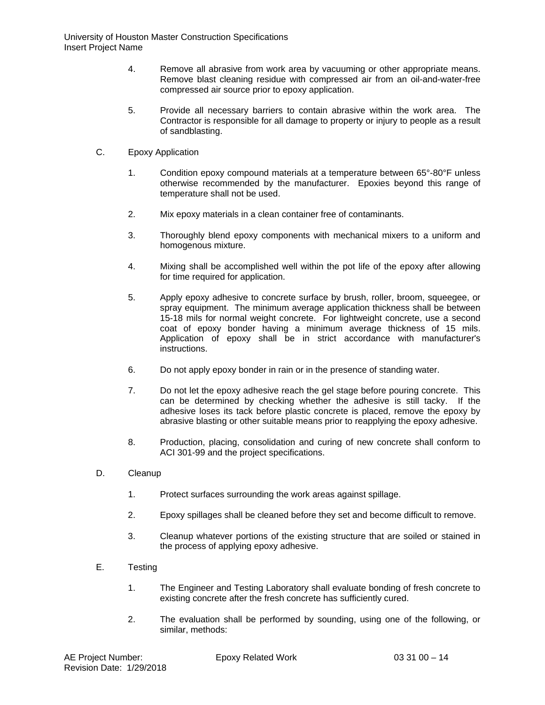- 4. Remove all abrasive from work area by vacuuming or other appropriate means. Remove blast cleaning residue with compressed air from an oil-and-water-free compressed air source prior to epoxy application.
- 5. Provide all necessary barriers to contain abrasive within the work area. The Contractor is responsible for all damage to property or injury to people as a result of sandblasting.
- C. Epoxy Application
	- 1. Condition epoxy compound materials at a temperature between 65°-80°F unless otherwise recommended by the manufacturer. Epoxies beyond this range of temperature shall not be used.
	- 2. Mix epoxy materials in a clean container free of contaminants.
	- 3. Thoroughly blend epoxy components with mechanical mixers to a uniform and homogenous mixture.
	- 4. Mixing shall be accomplished well within the pot life of the epoxy after allowing for time required for application.
	- 5. Apply epoxy adhesive to concrete surface by brush, roller, broom, squeegee, or spray equipment. The minimum average application thickness shall be between 15-18 mils for normal weight concrete. For lightweight concrete, use a second coat of epoxy bonder having a minimum average thickness of 15 mils. Application of epoxy shall be in strict accordance with manufacturer's instructions.
	- 6. Do not apply epoxy bonder in rain or in the presence of standing water.
	- 7. Do not let the epoxy adhesive reach the gel stage before pouring concrete. This can be determined by checking whether the adhesive is still tacky. If the adhesive loses its tack before plastic concrete is placed, remove the epoxy by abrasive blasting or other suitable means prior to reapplying the epoxy adhesive.
	- 8. Production, placing, consolidation and curing of new concrete shall conform to ACI 301-99 and the project specifications.
- D. Cleanup
	- 1. Protect surfaces surrounding the work areas against spillage.
	- 2. Epoxy spillages shall be cleaned before they set and become difficult to remove.
	- 3. Cleanup whatever portions of the existing structure that are soiled or stained in the process of applying epoxy adhesive.
- E. Testing
	- 1. The Engineer and Testing Laboratory shall evaluate bonding of fresh concrete to existing concrete after the fresh concrete has sufficiently cured.
	- 2. The evaluation shall be performed by sounding, using one of the following, or similar, methods: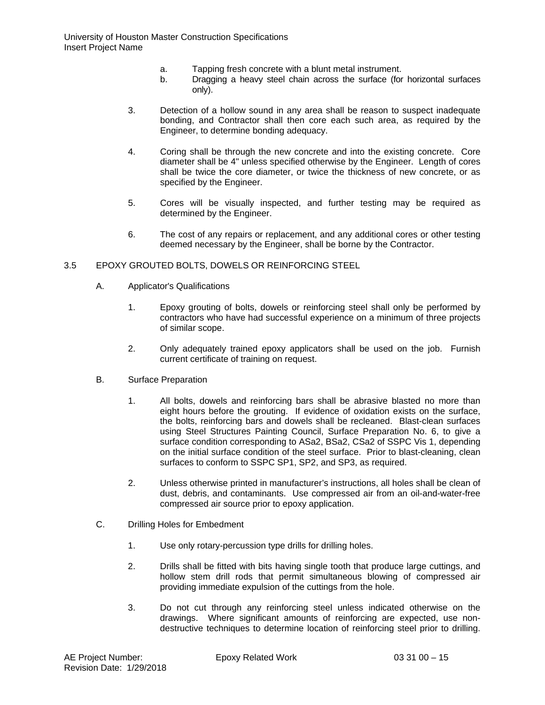- a. Tapping fresh concrete with a blunt metal instrument.
- b. Dragging a heavy steel chain across the surface (for horizontal surfaces only).
- 3. Detection of a hollow sound in any area shall be reason to suspect inadequate bonding, and Contractor shall then core each such area, as required by the Engineer, to determine bonding adequacy.
- 4. Coring shall be through the new concrete and into the existing concrete. Core diameter shall be 4" unless specified otherwise by the Engineer. Length of cores shall be twice the core diameter, or twice the thickness of new concrete, or as specified by the Engineer.
- 5. Cores will be visually inspected, and further testing may be required as determined by the Engineer.
- 6. The cost of any repairs or replacement, and any additional cores or other testing deemed necessary by the Engineer, shall be borne by the Contractor.

### 3.5 EPOXY GROUTED BOLTS, DOWELS OR REINFORCING STEEL

- A. Applicator's Qualifications
	- 1. Epoxy grouting of bolts, dowels or reinforcing steel shall only be performed by contractors who have had successful experience on a minimum of three projects of similar scope.
	- 2. Only adequately trained epoxy applicators shall be used on the job. Furnish current certificate of training on request.
- B. Surface Preparation
	- 1. All bolts, dowels and reinforcing bars shall be abrasive blasted no more than eight hours before the grouting. If evidence of oxidation exists on the surface, the bolts, reinforcing bars and dowels shall be recleaned. Blast-clean surfaces using Steel Structures Painting Council, Surface Preparation No. 6, to give a surface condition corresponding to ASa2, BSa2, CSa2 of SSPC Vis 1, depending on the initial surface condition of the steel surface. Prior to blast-cleaning, clean surfaces to conform to SSPC SP1, SP2, and SP3, as required.
	- 2. Unless otherwise printed in manufacturer's instructions, all holes shall be clean of dust, debris, and contaminants. Use compressed air from an oil-and-water-free compressed air source prior to epoxy application.
- C. Drilling Holes for Embedment
	- 1. Use only rotary-percussion type drills for drilling holes.
	- 2. Drills shall be fitted with bits having single tooth that produce large cuttings, and hollow stem drill rods that permit simultaneous blowing of compressed air providing immediate expulsion of the cuttings from the hole.
	- 3. Do not cut through any reinforcing steel unless indicated otherwise on the drawings. Where significant amounts of reinforcing are expected, use nondestructive techniques to determine location of reinforcing steel prior to drilling.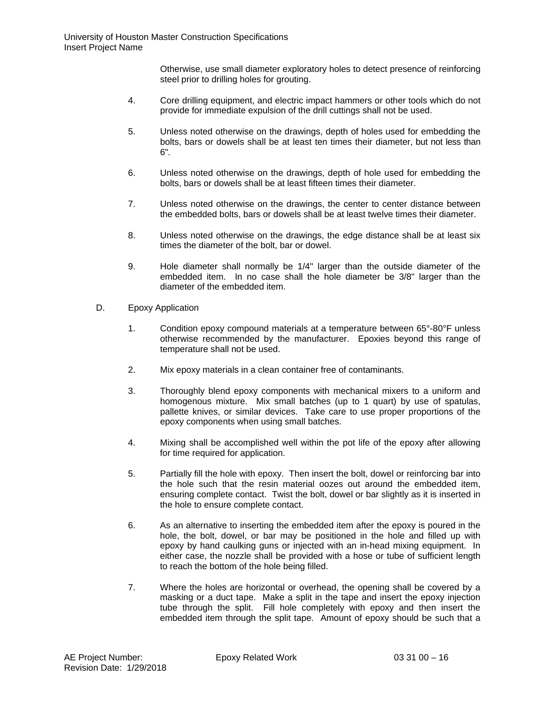Otherwise, use small diameter exploratory holes to detect presence of reinforcing steel prior to drilling holes for grouting.

- 4. Core drilling equipment, and electric impact hammers or other tools which do not provide for immediate expulsion of the drill cuttings shall not be used.
- 5. Unless noted otherwise on the drawings, depth of holes used for embedding the bolts, bars or dowels shall be at least ten times their diameter, but not less than 6".
- 6. Unless noted otherwise on the drawings, depth of hole used for embedding the bolts, bars or dowels shall be at least fifteen times their diameter.
- 7. Unless noted otherwise on the drawings, the center to center distance between the embedded bolts, bars or dowels shall be at least twelve times their diameter.
- 8. Unless noted otherwise on the drawings, the edge distance shall be at least six times the diameter of the bolt, bar or dowel.
- 9. Hole diameter shall normally be 1/4" larger than the outside diameter of the embedded item. In no case shall the hole diameter be 3/8" larger than the diameter of the embedded item.
- D. Epoxy Application
	- 1. Condition epoxy compound materials at a temperature between 65°-80°F unless otherwise recommended by the manufacturer. Epoxies beyond this range of temperature shall not be used.
	- 2. Mix epoxy materials in a clean container free of contaminants.
	- 3. Thoroughly blend epoxy components with mechanical mixers to a uniform and homogenous mixture. Mix small batches (up to 1 quart) by use of spatulas, pallette knives, or similar devices. Take care to use proper proportions of the epoxy components when using small batches.
	- 4. Mixing shall be accomplished well within the pot life of the epoxy after allowing for time required for application.
	- 5. Partially fill the hole with epoxy. Then insert the bolt, dowel or reinforcing bar into the hole such that the resin material oozes out around the embedded item, ensuring complete contact. Twist the bolt, dowel or bar slightly as it is inserted in the hole to ensure complete contact.
	- 6. As an alternative to inserting the embedded item after the epoxy is poured in the hole, the bolt, dowel, or bar may be positioned in the hole and filled up with epoxy by hand caulking guns or injected with an in-head mixing equipment. In either case, the nozzle shall be provided with a hose or tube of sufficient length to reach the bottom of the hole being filled.
	- 7. Where the holes are horizontal or overhead, the opening shall be covered by a masking or a duct tape. Make a split in the tape and insert the epoxy injection tube through the split. Fill hole completely with epoxy and then insert the embedded item through the split tape. Amount of epoxy should be such that a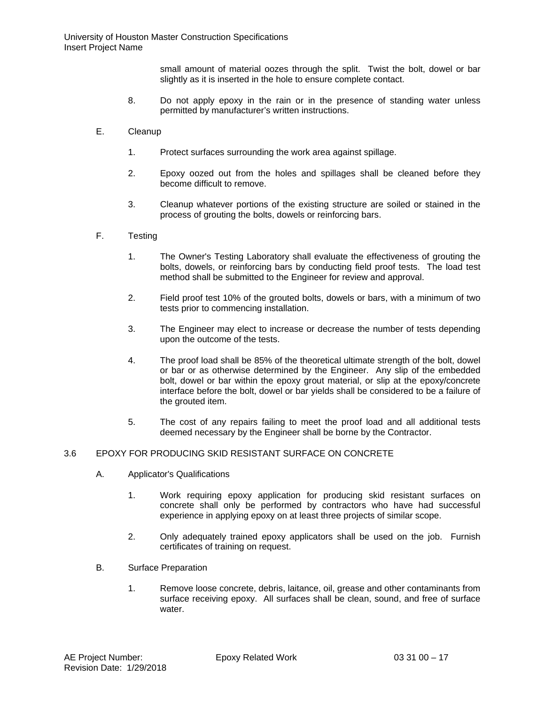small amount of material oozes through the split. Twist the bolt, dowel or bar slightly as it is inserted in the hole to ensure complete contact.

- 8. Do not apply epoxy in the rain or in the presence of standing water unless permitted by manufacturer's written instructions.
- E. Cleanup
	- 1. Protect surfaces surrounding the work area against spillage.
	- 2. Epoxy oozed out from the holes and spillages shall be cleaned before they become difficult to remove.
	- 3. Cleanup whatever portions of the existing structure are soiled or stained in the process of grouting the bolts, dowels or reinforcing bars.
- F. Testing
	- 1. The Owner's Testing Laboratory shall evaluate the effectiveness of grouting the bolts, dowels, or reinforcing bars by conducting field proof tests. The load test method shall be submitted to the Engineer for review and approval.
	- 2. Field proof test 10% of the grouted bolts, dowels or bars, with a minimum of two tests prior to commencing installation.
	- 3. The Engineer may elect to increase or decrease the number of tests depending upon the outcome of the tests.
	- 4. The proof load shall be 85% of the theoretical ultimate strength of the bolt, dowel or bar or as otherwise determined by the Engineer. Any slip of the embedded bolt, dowel or bar within the epoxy grout material, or slip at the epoxy/concrete interface before the bolt, dowel or bar yields shall be considered to be a failure of the grouted item.
	- 5. The cost of any repairs failing to meet the proof load and all additional tests deemed necessary by the Engineer shall be borne by the Contractor.

#### 3.6 EPOXY FOR PRODUCING SKID RESISTANT SURFACE ON CONCRETE

- A. Applicator's Qualifications
	- 1. Work requiring epoxy application for producing skid resistant surfaces on concrete shall only be performed by contractors who have had successful experience in applying epoxy on at least three projects of similar scope.
	- 2. Only adequately trained epoxy applicators shall be used on the job. Furnish certificates of training on request.
- B. Surface Preparation
	- 1. Remove loose concrete, debris, laitance, oil, grease and other contaminants from surface receiving epoxy. All surfaces shall be clean, sound, and free of surface water.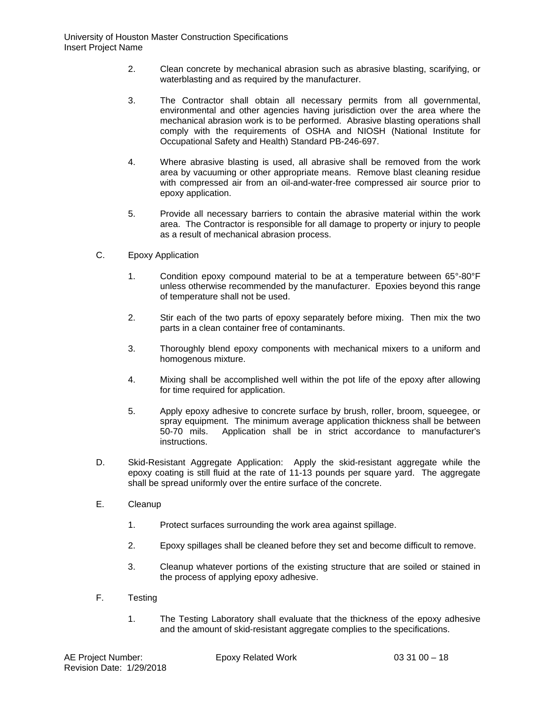- 2. Clean concrete by mechanical abrasion such as abrasive blasting, scarifying, or waterblasting and as required by the manufacturer.
- 3. The Contractor shall obtain all necessary permits from all governmental, environmental and other agencies having jurisdiction over the area where the mechanical abrasion work is to be performed. Abrasive blasting operations shall comply with the requirements of OSHA and NIOSH (National Institute for Occupational Safety and Health) Standard PB-246-697.
- 4. Where abrasive blasting is used, all abrasive shall be removed from the work area by vacuuming or other appropriate means. Remove blast cleaning residue with compressed air from an oil-and-water-free compressed air source prior to epoxy application.
- 5. Provide all necessary barriers to contain the abrasive material within the work area. The Contractor is responsible for all damage to property or injury to people as a result of mechanical abrasion process.
- C. Epoxy Application
	- 1. Condition epoxy compound material to be at a temperature between 65°-80°F unless otherwise recommended by the manufacturer. Epoxies beyond this range of temperature shall not be used.
	- 2. Stir each of the two parts of epoxy separately before mixing. Then mix the two parts in a clean container free of contaminants.
	- 3. Thoroughly blend epoxy components with mechanical mixers to a uniform and homogenous mixture.
	- 4. Mixing shall be accomplished well within the pot life of the epoxy after allowing for time required for application.
	- 5. Apply epoxy adhesive to concrete surface by brush, roller, broom, squeegee, or spray equipment. The minimum average application thickness shall be between<br>50-70 mils. Application shall be in strict accordance to manufacturer's Application shall be in strict accordance to manufacturer's instructions.
- D. Skid-Resistant Aggregate Application: Apply the skid-resistant aggregate while the epoxy coating is still fluid at the rate of 11-13 pounds per square yard. The aggregate shall be spread uniformly over the entire surface of the concrete.
- E. Cleanup
	- 1. Protect surfaces surrounding the work area against spillage.
	- 2. Epoxy spillages shall be cleaned before they set and become difficult to remove.
	- 3. Cleanup whatever portions of the existing structure that are soiled or stained in the process of applying epoxy adhesive.
- F. Testing
	- 1. The Testing Laboratory shall evaluate that the thickness of the epoxy adhesive and the amount of skid-resistant aggregate complies to the specifications.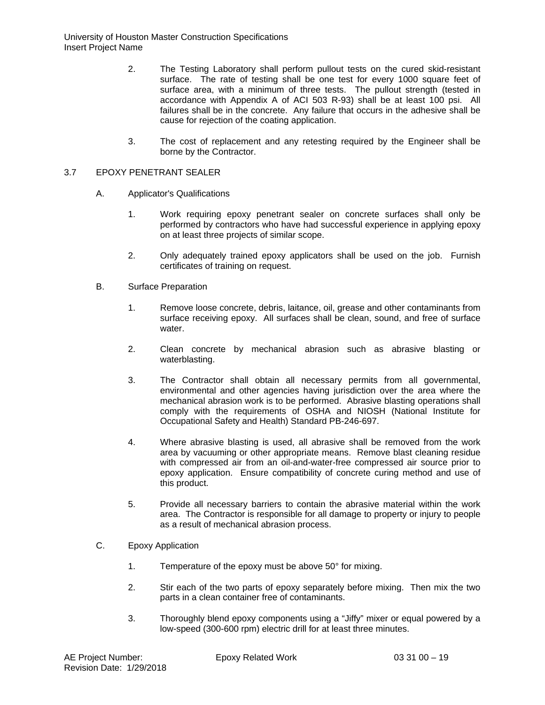- 2. The Testing Laboratory shall perform pullout tests on the cured skid-resistant surface. The rate of testing shall be one test for every 1000 square feet of surface area, with a minimum of three tests. The pullout strength (tested in accordance with Appendix A of ACI 503 R-93) shall be at least 100 psi. All failures shall be in the concrete. Any failure that occurs in the adhesive shall be cause for rejection of the coating application.
- 3. The cost of replacement and any retesting required by the Engineer shall be borne by the Contractor.

### 3.7 EPOXY PENETRANT SEALER

- A. Applicator's Qualifications
	- 1. Work requiring epoxy penetrant sealer on concrete surfaces shall only be performed by contractors who have had successful experience in applying epoxy on at least three projects of similar scope.
	- 2. Only adequately trained epoxy applicators shall be used on the job. Furnish certificates of training on request.
- B. Surface Preparation
	- 1. Remove loose concrete, debris, laitance, oil, grease and other contaminants from surface receiving epoxy. All surfaces shall be clean, sound, and free of surface water.
	- 2. Clean concrete by mechanical abrasion such as abrasive blasting or waterblasting.
	- 3. The Contractor shall obtain all necessary permits from all governmental, environmental and other agencies having jurisdiction over the area where the mechanical abrasion work is to be performed. Abrasive blasting operations shall comply with the requirements of OSHA and NIOSH (National Institute for Occupational Safety and Health) Standard PB-246-697.
	- 4. Where abrasive blasting is used, all abrasive shall be removed from the work area by vacuuming or other appropriate means. Remove blast cleaning residue with compressed air from an oil-and-water-free compressed air source prior to epoxy application. Ensure compatibility of concrete curing method and use of this product.
	- 5. Provide all necessary barriers to contain the abrasive material within the work area. The Contractor is responsible for all damage to property or injury to people as a result of mechanical abrasion process.
- C. Epoxy Application
	- 1. Temperature of the epoxy must be above 50° for mixing.
	- 2. Stir each of the two parts of epoxy separately before mixing. Then mix the two parts in a clean container free of contaminants.
	- 3. Thoroughly blend epoxy components using a "Jiffy" mixer or equal powered by a low-speed (300-600 rpm) electric drill for at least three minutes.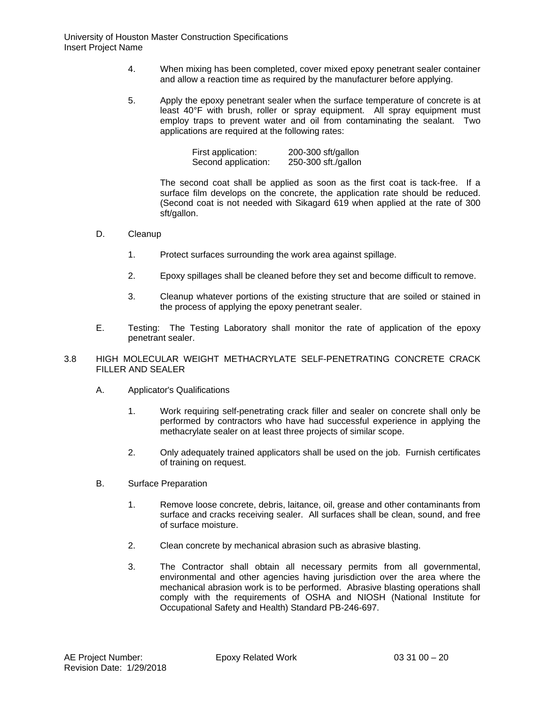- 4. When mixing has been completed, cover mixed epoxy penetrant sealer container and allow a reaction time as required by the manufacturer before applying.
- 5. Apply the epoxy penetrant sealer when the surface temperature of concrete is at least 40°F with brush, roller or spray equipment. All spray equipment must employ traps to prevent water and oil from contaminating the sealant. Two applications are required at the following rates:

| First application:  | 200-300 sft/gallon  |
|---------------------|---------------------|
| Second application: | 250-300 sft./gallon |

The second coat shall be applied as soon as the first coat is tack-free. If a surface film develops on the concrete, the application rate should be reduced. (Second coat is not needed with Sikagard 619 when applied at the rate of 300 sft/gallon.

- D. Cleanup
	- 1. Protect surfaces surrounding the work area against spillage.
	- 2. Epoxy spillages shall be cleaned before they set and become difficult to remove.
	- 3. Cleanup whatever portions of the existing structure that are soiled or stained in the process of applying the epoxy penetrant sealer.
- E. Testing: The Testing Laboratory shall monitor the rate of application of the epoxy penetrant sealer.
- 3.8 HIGH MOLECULAR WEIGHT METHACRYLATE SELF-PENETRATING CONCRETE CRACK FILLER AND SEALER
	- A. Applicator's Qualifications
		- 1. Work requiring self-penetrating crack filler and sealer on concrete shall only be performed by contractors who have had successful experience in applying the methacrylate sealer on at least three projects of similar scope.
		- 2. Only adequately trained applicators shall be used on the job. Furnish certificates of training on request.
	- B. Surface Preparation
		- 1. Remove loose concrete, debris, laitance, oil, grease and other contaminants from surface and cracks receiving sealer. All surfaces shall be clean, sound, and free of surface moisture.
		- 2. Clean concrete by mechanical abrasion such as abrasive blasting.
		- 3. The Contractor shall obtain all necessary permits from all governmental, environmental and other agencies having jurisdiction over the area where the mechanical abrasion work is to be performed. Abrasive blasting operations shall comply with the requirements of OSHA and NIOSH (National Institute for Occupational Safety and Health) Standard PB-246-697.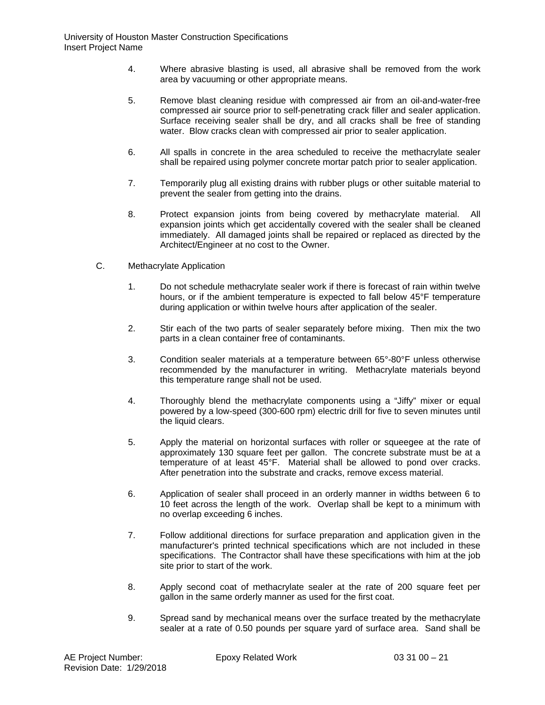- 4. Where abrasive blasting is used, all abrasive shall be removed from the work area by vacuuming or other appropriate means.
- 5. Remove blast cleaning residue with compressed air from an oil-and-water-free compressed air source prior to self-penetrating crack filler and sealer application. Surface receiving sealer shall be dry, and all cracks shall be free of standing water. Blow cracks clean with compressed air prior to sealer application.
- 6. All spalls in concrete in the area scheduled to receive the methacrylate sealer shall be repaired using polymer concrete mortar patch prior to sealer application.
- 7. Temporarily plug all existing drains with rubber plugs or other suitable material to prevent the sealer from getting into the drains.
- 8. Protect expansion joints from being covered by methacrylate material. All expansion joints which get accidentally covered with the sealer shall be cleaned immediately. All damaged joints shall be repaired or replaced as directed by the Architect/Engineer at no cost to the Owner.
- C. Methacrylate Application
	- 1. Do not schedule methacrylate sealer work if there is forecast of rain within twelve hours, or if the ambient temperature is expected to fall below 45°F temperature during application or within twelve hours after application of the sealer.
	- 2. Stir each of the two parts of sealer separately before mixing. Then mix the two parts in a clean container free of contaminants.
	- 3. Condition sealer materials at a temperature between 65°-80°F unless otherwise recommended by the manufacturer in writing. Methacrylate materials beyond this temperature range shall not be used.
	- 4. Thoroughly blend the methacrylate components using a "Jiffy" mixer or equal powered by a low-speed (300-600 rpm) electric drill for five to seven minutes until the liquid clears.
	- 5. Apply the material on horizontal surfaces with roller or squeegee at the rate of approximately 130 square feet per gallon. The concrete substrate must be at a temperature of at least 45°F. Material shall be allowed to pond over cracks. After penetration into the substrate and cracks, remove excess material.
	- 6. Application of sealer shall proceed in an orderly manner in widths between 6 to 10 feet across the length of the work. Overlap shall be kept to a minimum with no overlap exceeding 6 inches.
	- 7. Follow additional directions for surface preparation and application given in the manufacturer's printed technical specifications which are not included in these specifications. The Contractor shall have these specifications with him at the job site prior to start of the work.
	- 8. Apply second coat of methacrylate sealer at the rate of 200 square feet per gallon in the same orderly manner as used for the first coat.
	- 9. Spread sand by mechanical means over the surface treated by the methacrylate sealer at a rate of 0.50 pounds per square yard of surface area. Sand shall be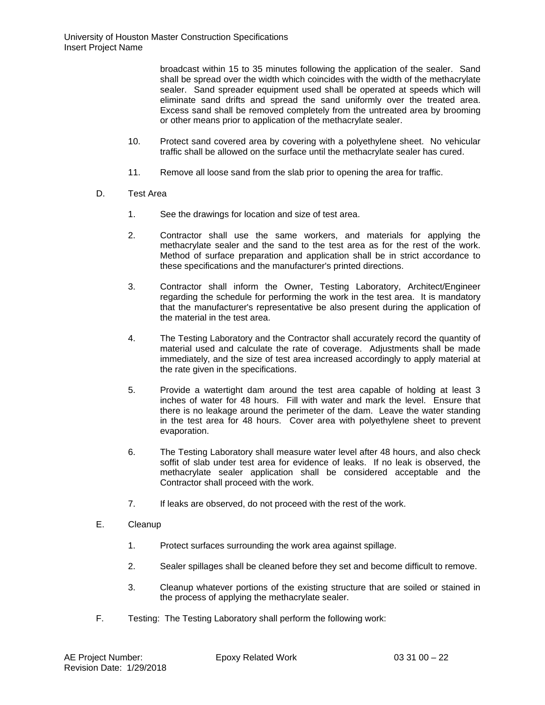broadcast within 15 to 35 minutes following the application of the sealer. Sand shall be spread over the width which coincides with the width of the methacrylate sealer. Sand spreader equipment used shall be operated at speeds which will eliminate sand drifts and spread the sand uniformly over the treated area. Excess sand shall be removed completely from the untreated area by brooming or other means prior to application of the methacrylate sealer.

- 10. Protect sand covered area by covering with a polyethylene sheet. No vehicular traffic shall be allowed on the surface until the methacrylate sealer has cured.
- 11. Remove all loose sand from the slab prior to opening the area for traffic.
- D. Test Area
	- 1. See the drawings for location and size of test area.
	- 2. Contractor shall use the same workers, and materials for applying the methacrylate sealer and the sand to the test area as for the rest of the work. Method of surface preparation and application shall be in strict accordance to these specifications and the manufacturer's printed directions.
	- 3. Contractor shall inform the Owner, Testing Laboratory, Architect/Engineer regarding the schedule for performing the work in the test area. It is mandatory that the manufacturer's representative be also present during the application of the material in the test area.
	- 4. The Testing Laboratory and the Contractor shall accurately record the quantity of material used and calculate the rate of coverage. Adjustments shall be made immediately, and the size of test area increased accordingly to apply material at the rate given in the specifications.
	- 5. Provide a watertight dam around the test area capable of holding at least 3 inches of water for 48 hours. Fill with water and mark the level. Ensure that there is no leakage around the perimeter of the dam. Leave the water standing in the test area for 48 hours. Cover area with polyethylene sheet to prevent evaporation.
	- 6. The Testing Laboratory shall measure water level after 48 hours, and also check soffit of slab under test area for evidence of leaks. If no leak is observed, the methacrylate sealer application shall be considered acceptable and the Contractor shall proceed with the work.
	- 7. If leaks are observed, do not proceed with the rest of the work.
- E. Cleanup
	- 1. Protect surfaces surrounding the work area against spillage.
	- 2. Sealer spillages shall be cleaned before they set and become difficult to remove.
	- 3. Cleanup whatever portions of the existing structure that are soiled or stained in the process of applying the methacrylate sealer.
- F. Testing: The Testing Laboratory shall perform the following work: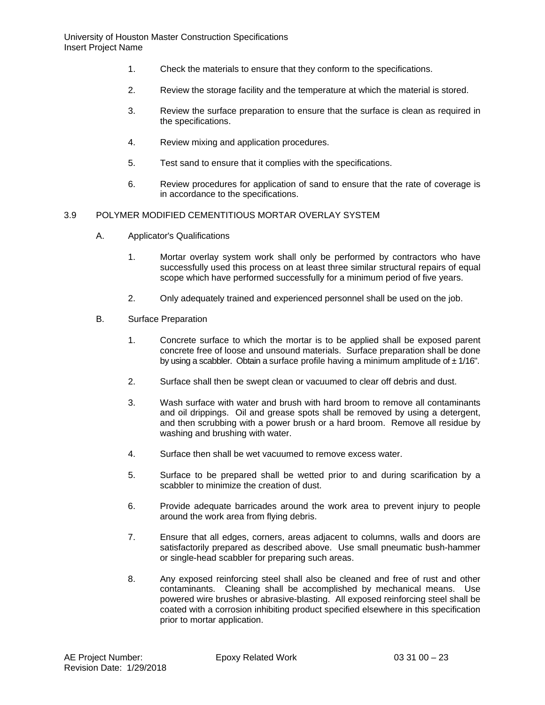- 1. Check the materials to ensure that they conform to the specifications.
- 2. Review the storage facility and the temperature at which the material is stored.
- 3. Review the surface preparation to ensure that the surface is clean as required in the specifications.
- 4. Review mixing and application procedures.
- 5. Test sand to ensure that it complies with the specifications.
- 6. Review procedures for application of sand to ensure that the rate of coverage is in accordance to the specifications.

### 3.9 POLYMER MODIFIED CEMENTITIOUS MORTAR OVERLAY SYSTEM

- A. Applicator's Qualifications
	- 1. Mortar overlay system work shall only be performed by contractors who have successfully used this process on at least three similar structural repairs of equal scope which have performed successfully for a minimum period of five years.
	- 2. Only adequately trained and experienced personnel shall be used on the job.
- B. Surface Preparation
	- 1. Concrete surface to which the mortar is to be applied shall be exposed parent concrete free of loose and unsound materials. Surface preparation shall be done by using a scabbler. Obtain a surface profile having a minimum amplitude of  $\pm$  1/16".
	- 2. Surface shall then be swept clean or vacuumed to clear off debris and dust.
	- 3. Wash surface with water and brush with hard broom to remove all contaminants and oil drippings. Oil and grease spots shall be removed by using a detergent, and then scrubbing with a power brush or a hard broom. Remove all residue by washing and brushing with water.
	- 4. Surface then shall be wet vacuumed to remove excess water.
	- 5. Surface to be prepared shall be wetted prior to and during scarification by a scabbler to minimize the creation of dust.
	- 6. Provide adequate barricades around the work area to prevent injury to people around the work area from flying debris.
	- 7. Ensure that all edges, corners, areas adjacent to columns, walls and doors are satisfactorily prepared as described above. Use small pneumatic bush-hammer or single-head scabbler for preparing such areas.
	- 8. Any exposed reinforcing steel shall also be cleaned and free of rust and other contaminants. Cleaning shall be accomplished by mechanical means. Use powered wire brushes or abrasive-blasting. All exposed reinforcing steel shall be coated with a corrosion inhibiting product specified elsewhere in this specification prior to mortar application.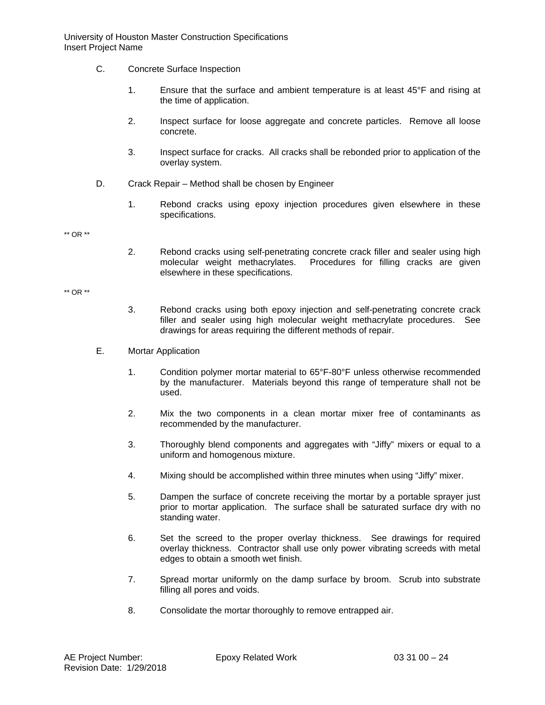- C. Concrete Surface Inspection
	- 1. Ensure that the surface and ambient temperature is at least 45°F and rising at the time of application.
	- 2. Inspect surface for loose aggregate and concrete particles. Remove all loose concrete.
	- 3. Inspect surface for cracks. All cracks shall be rebonded prior to application of the overlay system.
- D. Crack Repair Method shall be chosen by Engineer
	- 1. Rebond cracks using epoxy injection procedures given elsewhere in these specifications.

\*\* OR \*\*

2. Rebond cracks using self-penetrating concrete crack filler and sealer using high molecular weight methacrylates. Procedures for filling cracks are given elsewhere in these specifications.

\*\* OR \*\*

- 3. Rebond cracks using both epoxy injection and self-penetrating concrete crack filler and sealer using high molecular weight methacrylate procedures. See drawings for areas requiring the different methods of repair.
- E. Mortar Application
	- 1. Condition polymer mortar material to 65°F-80°F unless otherwise recommended by the manufacturer. Materials beyond this range of temperature shall not be used.
	- 2. Mix the two components in a clean mortar mixer free of contaminants as recommended by the manufacturer.
	- 3. Thoroughly blend components and aggregates with "Jiffy" mixers or equal to a uniform and homogenous mixture.
	- 4. Mixing should be accomplished within three minutes when using "Jiffy" mixer.
	- 5. Dampen the surface of concrete receiving the mortar by a portable sprayer just prior to mortar application. The surface shall be saturated surface dry with no standing water.
	- 6. Set the screed to the proper overlay thickness. See drawings for required overlay thickness. Contractor shall use only power vibrating screeds with metal edges to obtain a smooth wet finish.
	- 7. Spread mortar uniformly on the damp surface by broom. Scrub into substrate filling all pores and voids.
	- 8. Consolidate the mortar thoroughly to remove entrapped air.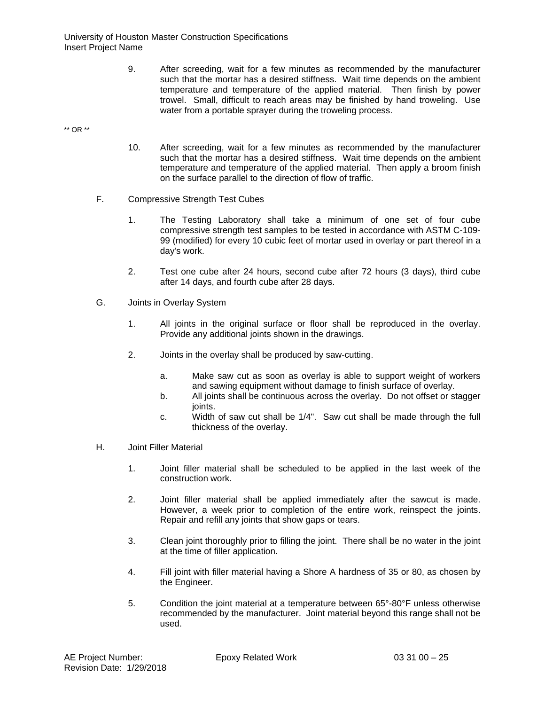9. After screeding, wait for a few minutes as recommended by the manufacturer such that the mortar has a desired stiffness. Wait time depends on the ambient temperature and temperature of the applied material. Then finish by power trowel. Small, difficult to reach areas may be finished by hand troweling. Use water from a portable sprayer during the troweling process.

\*\* OR \*\*

- 10. After screeding, wait for a few minutes as recommended by the manufacturer such that the mortar has a desired stiffness. Wait time depends on the ambient temperature and temperature of the applied material. Then apply a broom finish on the surface parallel to the direction of flow of traffic.
- F. Compressive Strength Test Cubes
	- 1. The Testing Laboratory shall take a minimum of one set of four cube compressive strength test samples to be tested in accordance with ASTM C-109- 99 (modified) for every 10 cubic feet of mortar used in overlay or part thereof in a day's work.
	- 2. Test one cube after 24 hours, second cube after 72 hours (3 days), third cube after 14 days, and fourth cube after 28 days.
- G. Joints in Overlay System
	- 1. All joints in the original surface or floor shall be reproduced in the overlay. Provide any additional joints shown in the drawings.
	- 2. Joints in the overlay shall be produced by saw-cutting.
		- a. Make saw cut as soon as overlay is able to support weight of workers and sawing equipment without damage to finish surface of overlay.
		- b. All joints shall be continuous across the overlay. Do not offset or stagger joints.
		- c. Width of saw cut shall be 1/4". Saw cut shall be made through the full thickness of the overlay.
- H. Joint Filler Material
	- 1. Joint filler material shall be scheduled to be applied in the last week of the construction work.
	- 2. Joint filler material shall be applied immediately after the sawcut is made. However, a week prior to completion of the entire work, reinspect the joints. Repair and refill any joints that show gaps or tears.
	- 3. Clean joint thoroughly prior to filling the joint. There shall be no water in the joint at the time of filler application.
	- 4. Fill joint with filler material having a Shore A hardness of 35 or 80, as chosen by the Engineer.
	- 5. Condition the joint material at a temperature between 65°-80°F unless otherwise recommended by the manufacturer. Joint material beyond this range shall not be used.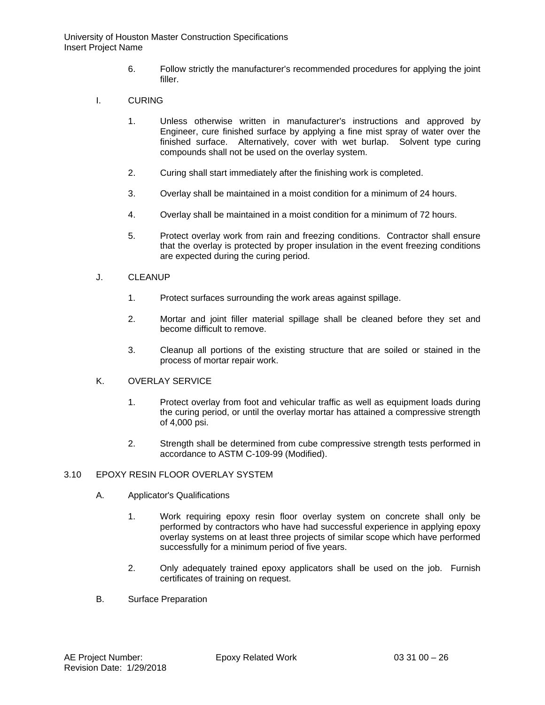- 6. Follow strictly the manufacturer's recommended procedures for applying the joint filler.
- I. CURING
	- 1. Unless otherwise written in manufacturer's instructions and approved by Engineer, cure finished surface by applying a fine mist spray of water over the finished surface. Alternatively, cover with wet burlap. Solvent type curing compounds shall not be used on the overlay system.
	- 2. Curing shall start immediately after the finishing work is completed.
	- 3. Overlay shall be maintained in a moist condition for a minimum of 24 hours.
	- 4. Overlay shall be maintained in a moist condition for a minimum of 72 hours.
	- 5. Protect overlay work from rain and freezing conditions. Contractor shall ensure that the overlay is protected by proper insulation in the event freezing conditions are expected during the curing period.
- J. CLEANUP
	- 1. Protect surfaces surrounding the work areas against spillage.
	- 2. Mortar and joint filler material spillage shall be cleaned before they set and become difficult to remove.
	- 3. Cleanup all portions of the existing structure that are soiled or stained in the process of mortar repair work.

## K. OVERLAY SERVICE

- 1. Protect overlay from foot and vehicular traffic as well as equipment loads during the curing period, or until the overlay mortar has attained a compressive strength of 4,000 psi.
- 2. Strength shall be determined from cube compressive strength tests performed in accordance to ASTM C-109-99 (Modified).

## 3.10 EPOXY RESIN FLOOR OVERLAY SYSTEM

- A. Applicator's Qualifications
	- 1. Work requiring epoxy resin floor overlay system on concrete shall only be performed by contractors who have had successful experience in applying epoxy overlay systems on at least three projects of similar scope which have performed successfully for a minimum period of five years.
	- 2. Only adequately trained epoxy applicators shall be used on the job. Furnish certificates of training on request.
- B. Surface Preparation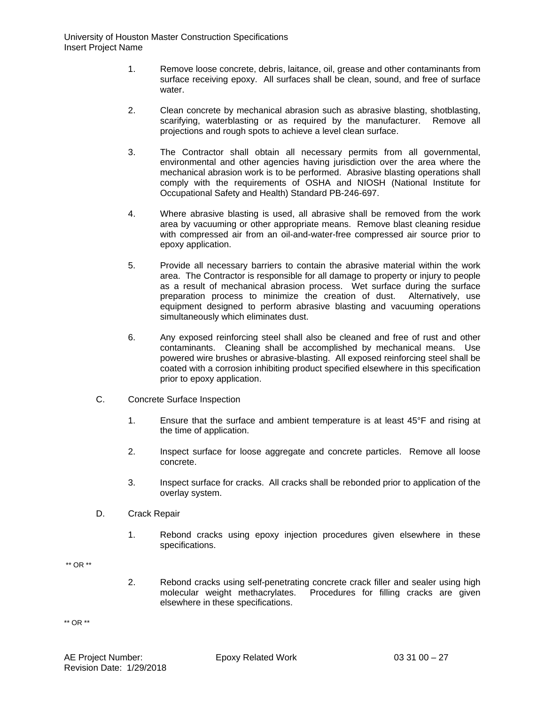- 1. Remove loose concrete, debris, laitance, oil, grease and other contaminants from surface receiving epoxy. All surfaces shall be clean, sound, and free of surface water.
- 2. Clean concrete by mechanical abrasion such as abrasive blasting, shotblasting, scarifying, waterblasting or as required by the manufacturer. Remove all projections and rough spots to achieve a level clean surface.
- 3. The Contractor shall obtain all necessary permits from all governmental, environmental and other agencies having jurisdiction over the area where the mechanical abrasion work is to be performed. Abrasive blasting operations shall comply with the requirements of OSHA and NIOSH (National Institute for Occupational Safety and Health) Standard PB-246-697.
- 4. Where abrasive blasting is used, all abrasive shall be removed from the work area by vacuuming or other appropriate means. Remove blast cleaning residue with compressed air from an oil-and-water-free compressed air source prior to epoxy application.
- 5. Provide all necessary barriers to contain the abrasive material within the work area. The Contractor is responsible for all damage to property or injury to people as a result of mechanical abrasion process. Wet surface during the surface preparation process to minimize the creation of dust. Alternatively, use equipment designed to perform abrasive blasting and vacuuming operations simultaneously which eliminates dust.
- 6. Any exposed reinforcing steel shall also be cleaned and free of rust and other contaminants. Cleaning shall be accomplished by mechanical means. Use powered wire brushes or abrasive-blasting. All exposed reinforcing steel shall be coated with a corrosion inhibiting product specified elsewhere in this specification prior to epoxy application.
- C. Concrete Surface Inspection
	- 1. Ensure that the surface and ambient temperature is at least 45°F and rising at the time of application.
	- 2. Inspect surface for loose aggregate and concrete particles. Remove all loose concrete.
	- 3. Inspect surface for cracks. All cracks shall be rebonded prior to application of the overlay system.
- D. Crack Repair
	- 1. Rebond cracks using epoxy injection procedures given elsewhere in these specifications.
- \*\* OR \*\*
- 2. Rebond cracks using self-penetrating concrete crack filler and sealer using high molecular weight methacrylates. Procedures for filling cracks are given elsewhere in these specifications.

\*\* OR \*\*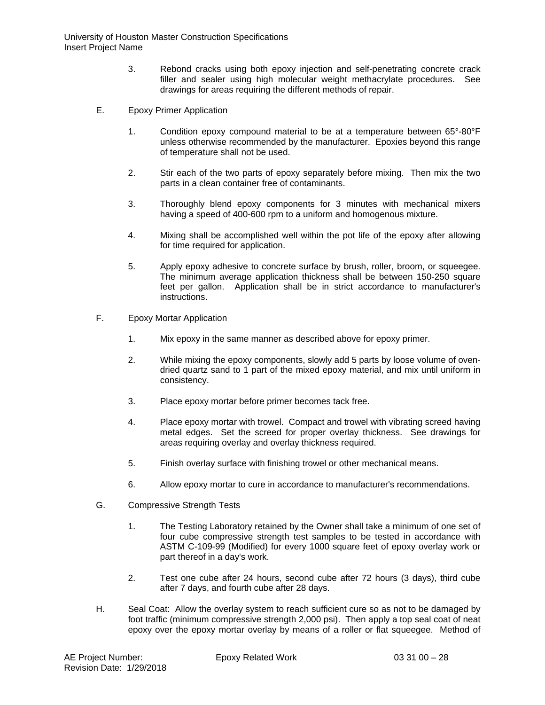- 3. Rebond cracks using both epoxy injection and self-penetrating concrete crack filler and sealer using high molecular weight methacrylate procedures. See drawings for areas requiring the different methods of repair.
- E. Epoxy Primer Application
	- 1. Condition epoxy compound material to be at a temperature between 65°-80°F unless otherwise recommended by the manufacturer. Epoxies beyond this range of temperature shall not be used.
	- 2. Stir each of the two parts of epoxy separately before mixing. Then mix the two parts in a clean container free of contaminants.
	- 3. Thoroughly blend epoxy components for 3 minutes with mechanical mixers having a speed of 400-600 rpm to a uniform and homogenous mixture.
	- 4. Mixing shall be accomplished well within the pot life of the epoxy after allowing for time required for application.
	- 5. Apply epoxy adhesive to concrete surface by brush, roller, broom, or squeegee. The minimum average application thickness shall be between 150-250 square feet per gallon. Application shall be in strict accordance to manufacturer's instructions.
- F. Epoxy Mortar Application
	- 1. Mix epoxy in the same manner as described above for epoxy primer.
	- 2. While mixing the epoxy components, slowly add 5 parts by loose volume of ovendried quartz sand to 1 part of the mixed epoxy material, and mix until uniform in consistency.
	- 3. Place epoxy mortar before primer becomes tack free.
	- 4. Place epoxy mortar with trowel. Compact and trowel with vibrating screed having metal edges. Set the screed for proper overlay thickness. See drawings for areas requiring overlay and overlay thickness required.
	- 5. Finish overlay surface with finishing trowel or other mechanical means.
	- 6. Allow epoxy mortar to cure in accordance to manufacturer's recommendations.
- G. Compressive Strength Tests
	- 1. The Testing Laboratory retained by the Owner shall take a minimum of one set of four cube compressive strength test samples to be tested in accordance with ASTM C-109-99 (Modified) for every 1000 square feet of epoxy overlay work or part thereof in a day's work.
	- 2. Test one cube after 24 hours, second cube after 72 hours (3 days), third cube after 7 days, and fourth cube after 28 days.
- H. Seal Coat: Allow the overlay system to reach sufficient cure so as not to be damaged by foot traffic (minimum compressive strength 2,000 psi). Then apply a top seal coat of neat epoxy over the epoxy mortar overlay by means of a roller or flat squeegee. Method of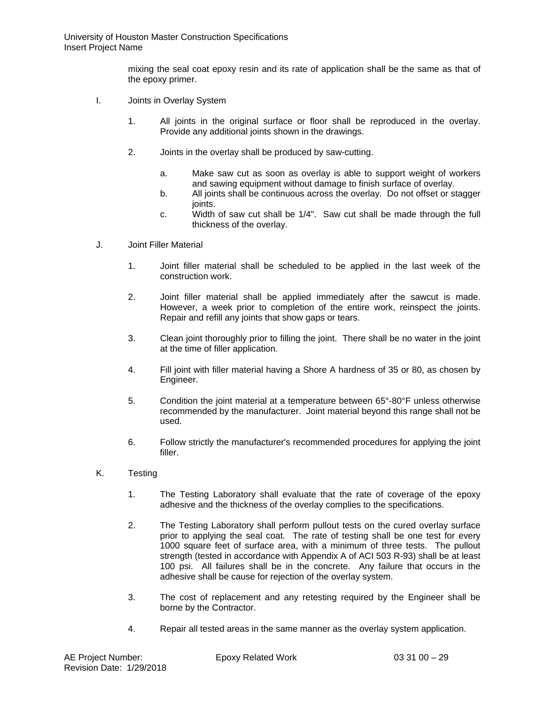mixing the seal coat epoxy resin and its rate of application shall be the same as that of the epoxy primer.

- I. Joints in Overlay System
	- 1. All joints in the original surface or floor shall be reproduced in the overlay. Provide any additional joints shown in the drawings.
	- 2. Joints in the overlay shall be produced by saw-cutting.
		- a. Make saw cut as soon as overlay is able to support weight of workers and sawing equipment without damage to finish surface of overlay.
		- b. All joints shall be continuous across the overlay. Do not offset or stagger ioints.
		- c. Width of saw cut shall be 1/4". Saw cut shall be made through the full thickness of the overlay.
- J. Joint Filler Material
	- 1. Joint filler material shall be scheduled to be applied in the last week of the construction work.
	- 2. Joint filler material shall be applied immediately after the sawcut is made. However, a week prior to completion of the entire work, reinspect the joints. Repair and refill any joints that show gaps or tears.
	- 3. Clean joint thoroughly prior to filling the joint. There shall be no water in the joint at the time of filler application.
	- 4. Fill joint with filler material having a Shore A hardness of 35 or 80, as chosen by Engineer.
	- 5. Condition the joint material at a temperature between 65°-80°F unless otherwise recommended by the manufacturer. Joint material beyond this range shall not be used.
	- 6. Follow strictly the manufacturer's recommended procedures for applying the joint filler.
- K. Testing
	- 1. The Testing Laboratory shall evaluate that the rate of coverage of the epoxy adhesive and the thickness of the overlay complies to the specifications.
	- 2. The Testing Laboratory shall perform pullout tests on the cured overlay surface prior to applying the seal coat. The rate of testing shall be one test for every 1000 square feet of surface area, with a minimum of three tests. The pullout strength (tested in accordance with Appendix A of ACI 503 R-93) shall be at least 100 psi. All failures shall be in the concrete. Any failure that occurs in the adhesive shall be cause for rejection of the overlay system.
	- 3. The cost of replacement and any retesting required by the Engineer shall be borne by the Contractor.
	- 4. Repair all tested areas in the same manner as the overlay system application.